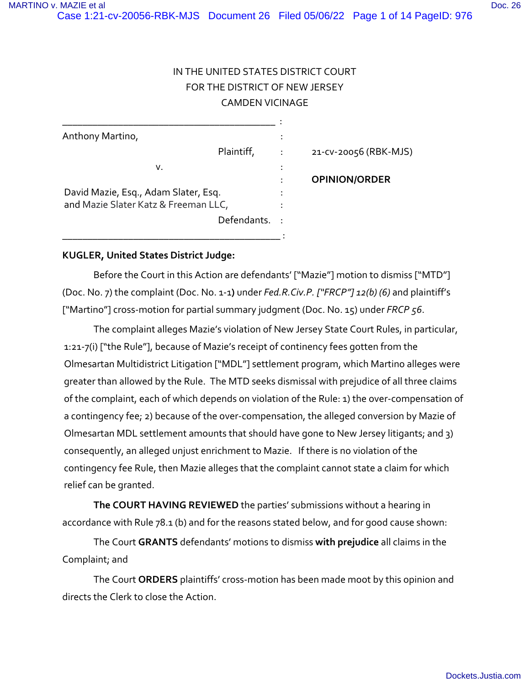| Anthony Martino,                     |             |   |                       |
|--------------------------------------|-------------|---|-----------------------|
|                                      | Plaintiff,  | ÷ | 21-CV-20056 (RBK-MJS) |
| ν.                                   |             |   |                       |
|                                      |             |   | <b>OPINION/ORDER</b>  |
| David Mazie, Esq., Adam Slater, Esq. |             |   |                       |
| and Mazie Slater Katz & Freeman LLC, |             |   |                       |
|                                      | Defendants. |   |                       |
|                                      |             |   |                       |

# **KUGLER, United States District Judge:**

Before the Court in this Action are defendants' ["Mazie"] motion to dismiss ["MTD"] (Doc. No. 7) the complaint (Doc. No. 1‐1**)** under *Fed.R.Civ.P. ["FRCP"] 12(b) (6)* and plaintiff's ["Martino"] cross‐motion for partial summary judgment (Doc. No. 15) under *FRCP 56*.

The complaint alleges Mazie's violation of New Jersey State Court Rules, in particular, 1:21‐7(i) ["the Rule"], because of Mazie's receipt of continency fees gotten from the Olmesartan Multidistrict Litigation ["MDL"] settlement program, which Martino alleges were greater than allowed by the Rule. The MTD seeks dismissal with prejudice of all three claims of the complaint, each of which depends on violation of the Rule: 1) the over‐compensation of a contingency fee; 2) because of the over‐compensation, the alleged conversion by Mazie of Olmesartan MDL settlement amounts that should have gone to New Jersey litigants; and 3) consequently, an alleged unjust enrichment to Mazie. If there is no violation of the contingency fee Rule, then Mazie alleges that the complaint cannot state a claim for which relief can be granted.

**The COURT HAVING REVIEWED** the parties' submissions without a hearing in accordance with Rule 78.1 (b) and for the reasons stated below, and for good cause shown:

The Court **GRANTS** defendants' motions to dismiss **with prejudice** all claims in the Complaint; and

The Court ORDERS plaintiffs' cross-motion has been made moot by this opinion and directs the Clerk to close the Action.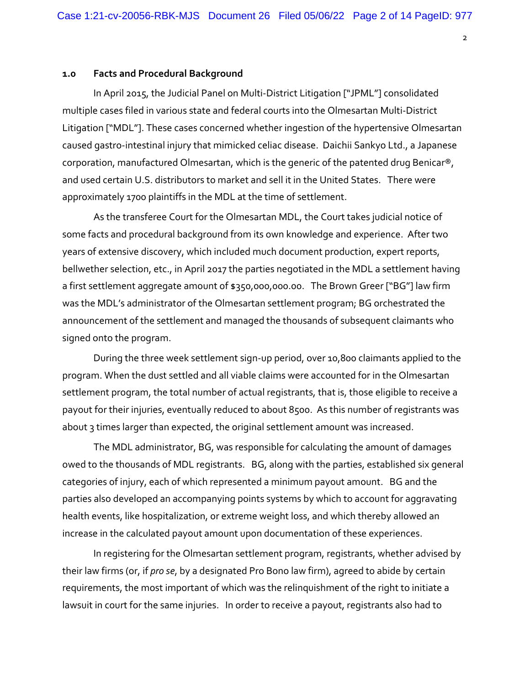## **1.0 Facts and Procedural Background**

In April 2015, the Judicial Panel on Multi‐District Litigation ["JPML"] consolidated multiple cases filed in various state and federal courts into the Olmesartan Multi‐District Litigation ["MDL"]. These cases concerned whether ingestion of the hypertensive Olmesartan caused gastro‐intestinal injury that mimicked celiac disease. Daichii Sankyo Ltd., a Japanese corporation, manufactured Olmesartan, which is the generic of the patented drug Benicar®, and used certain U.S. distributors to market and sell it in the United States. There were approximately 1700 plaintiffs in the MDL at the time of settlement.

As the transferee Court for the Olmesartan MDL, the Court takes judicial notice of some facts and procedural background from its own knowledge and experience. After two years of extensive discovery, which included much document production, expert reports, bellwether selection, etc., in April 2017 the parties negotiated in the MDL a settlement having a first settlement aggregate amount of \$350,000,000.00. The Brown Greer ["BG"] law firm was the MDL's administrator of the Olmesartan settlement program; BG orchestrated the announcement of the settlement and managed the thousands of subsequent claimants who signed onto the program.

During the three week settlement sign‐up period, over 10,800 claimants applied to the program. When the dust settled and all viable claims were accounted for in the Olmesartan settlement program, the total number of actual registrants, that is, those eligible to receive a payout for their injuries, eventually reduced to about 8500. As this number of registrants was about 3 times larger than expected, the original settlement amount was increased.

The MDL administrator, BG, was responsible for calculating the amount of damages owed to the thousands of MDL registrants. BG, along with the parties, established six general categories of injury, each of which represented a minimum payout amount. BG and the parties also developed an accompanying points systems by which to account for aggravating health events, like hospitalization, or extreme weight loss, and which thereby allowed an increase in the calculated payout amount upon documentation of these experiences.

In registering for the Olmesartan settlement program, registrants, whether advised by their law firms (or, if *pro se*, by a designated Pro Bono law firm), agreed to abide by certain requirements, the most important of which was the relinquishment of the right to initiate a lawsuit in court for the same injuries. In order to receive a payout, registrants also had to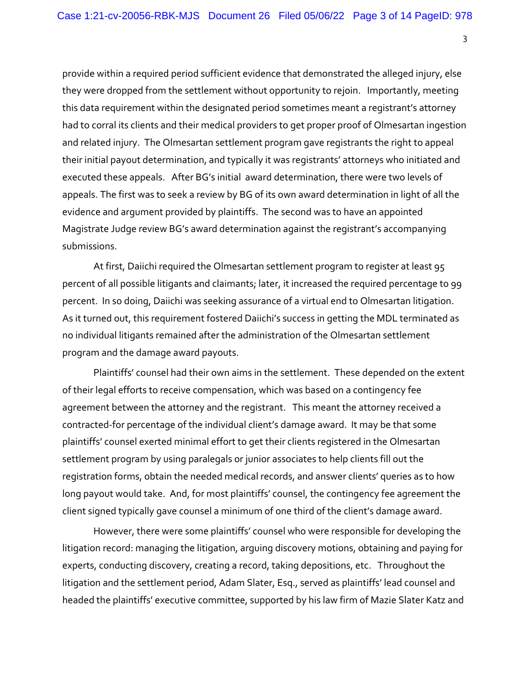provide within a required period sufficient evidence that demonstrated the alleged injury, else they were dropped from the settlement without opportunity to rejoin. Importantly, meeting this data requirement within the designated period sometimes meant a registrant's attorney had to corral its clients and their medical providers to get proper proof of Olmesartan ingestion and related injury. The Olmesartan settlement program gave registrants the right to appeal their initial payout determination, and typically it was registrants' attorneys who initiated and executed these appeals. After BG's initial award determination, there were two levels of appeals. The first was to seek a review by BG of its own award determination in light of all the evidence and argument provided by plaintiffs. The second was to have an appointed Magistrate Judge review BG's award determination against the registrant's accompanying submissions.

At first, Daiichi required the Olmesartan settlement program to register at least 95 percent of all possible litigants and claimants; later, it increased the required percentage to 99 percent. In so doing, Daiichi was seeking assurance of a virtual end to Olmesartan litigation. As it turned out, this requirement fostered Daiichi's success in getting the MDL terminated as no individual litigants remained after the administration of the Olmesartan settlement program and the damage award payouts.

Plaintiffs' counsel had their own aims in the settlement. These depended on the extent of their legal efforts to receive compensation, which was based on a contingency fee agreement between the attorney and the registrant. This meant the attorney received a contracted‐for percentage of the individual client's damage award. It may be that some plaintiffs' counsel exerted minimal effort to get their clients registered in the Olmesartan settlement program by using paralegals or junior associates to help clients fill out the registration forms, obtain the needed medical records, and answer clients' queries as to how long payout would take. And, for most plaintiffs' counsel, the contingency fee agreement the client signed typically gave counsel a minimum of one third of the client's damage award.

However, there were some plaintiffs' counsel who were responsible for developing the litigation record: managing the litigation, arguing discovery motions, obtaining and paying for experts, conducting discovery, creating a record, taking depositions, etc. Throughout the litigation and the settlement period, Adam Slater, Esq., served as plaintiffs' lead counsel and headed the plaintiffs' executive committee, supported by his law firm of Mazie Slater Katz and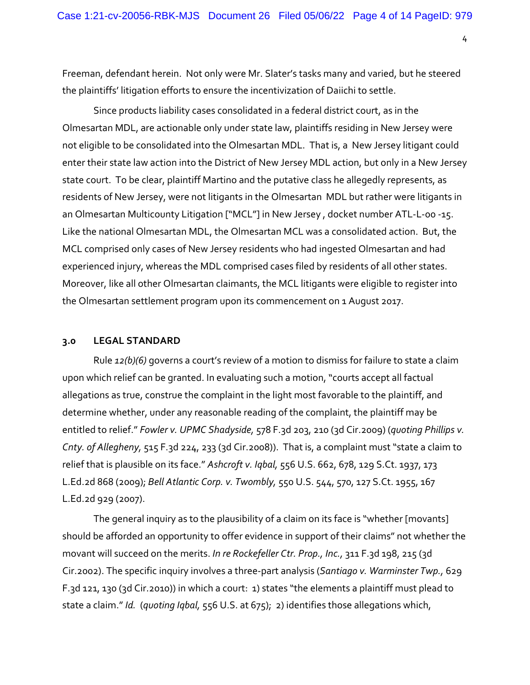4

Freeman, defendant herein. Not only were Mr. Slater's tasks many and varied, but he steered the plaintiffs' litigation efforts to ensure the incentivization of Daiichi to settle.

Since products liability cases consolidated in a federal district court, as in the Olmesartan MDL, are actionable only under state law, plaintiffs residing in New Jersey were not eligible to be consolidated into the Olmesartan MDL. That is, a New Jersey litigant could enter their state law action into the District of New Jersey MDL action, but only in a New Jersey state court. To be clear, plaintiff Martino and the putative class he allegedly represents, as residents of New Jersey, were not litigants in the Olmesartan MDL but rather were litigants in an Olmesartan Multicounty Litigation ["MCL"] in New Jersey , docket number ATL‐L‐00 ‐15. Like the national Olmesartan MDL, the Olmesartan MCL was a consolidated action. But, the MCL comprised only cases of New Jersey residents who had ingested Olmesartan and had experienced injury, whereas the MDL comprised cases filed by residents of all other states. Moreover, like all other Olmesartan claimants, the MCL litigants were eligible to register into the Olmesartan settlement program upon its commencement on 1 August 2017.

#### **3.0 LEGAL STANDARD**

Rule *12(b)(6)* governs a court's review of a motion to dismiss for failure to state a claim upon which relief can be granted. In evaluating such a motion, "courts accept all factual allegations as true, construe the complaint in the light most favorable to the plaintiff, and determine whether, under any reasonable reading of the complaint, the plaintiff may be entitled to relief." *Fowler v. UPMC Shadyside,* 578 F.3d 203, 210 (3d Cir.2009) (*quoting Phillips v. Cnty. of Allegheny,* 515 F.3d 224, 233 (3d Cir.2008)). That is, a complaint must "state a claim to relief that is plausible on its face." *Ashcroft v. Iqbal,* 556 U.S. 662, 678, 129 S.Ct. 1937, 173 L.Ed.2d 868 (2009); *Bell Atlantic Corp. v. Twombly,* 550 U.S. 544, 570, 127 S.Ct. 1955, 167 L.Ed.2d 929 (2007).

The general inquiry as to the plausibility of a claim on its face is "whether [movants] should be afforded an opportunity to offer evidence in support of their claims" not whether the movant will succeed on the merits. *In re Rockefeller Ctr. Prop., Inc.,* 311 F.3d 198, 215 (3d Cir.2002). The specific inquiry involves a three‐part analysis (*Santiago v. Warminster Twp.,* 629 F.3d 121, 130 (3d Cir.2010)) in which a court: 1) states "the elements a plaintiff must plead to state a claim." *Id.* (*quoting Iqbal,* 556 U.S. at 675); 2) identifies those allegations which,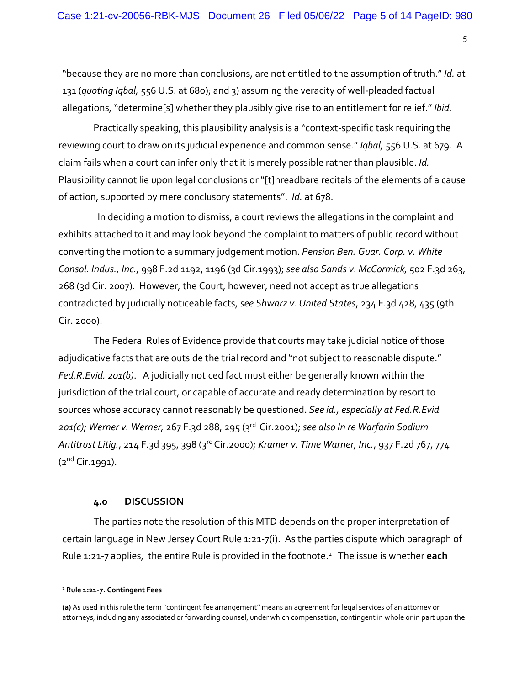"because they are no more than conclusions, are not entitled to the assumption of truth." *Id.* at 131 (*quoting Iqbal,* 556 U.S. at 680); and 3) assuming the veracity of well‐pleaded factual allegations, "determine[s] whether they plausibly give rise to an entitlement for relief." *Ibid.*

Practically speaking, this plausibility analysis is a "context‐specific task requiring the reviewing court to draw on its judicial experience and common sense." *Iqbal,* 556 U.S. at 679. A claim fails when a court can infer only that it is merely possible rather than plausible. *Id.* Plausibility cannot lie upon legal conclusions or "[t]hreadbare recitals of the elements of a cause of action, supported by mere conclusory statements". *Id.* at 678.

 In deciding a motion to dismiss, a court reviews the allegations in the complaint and exhibits attached to it and may look beyond the complaint to matters of public record without converting the motion to a summary judgement motion. *Pension Ben. Guar. Corp. v. White Consol. Indus., Inc.,* 998 F.2d 1192, 1196 (3d Cir.1993);*see also Sands v*. *McCormick,* 502 F.3d 263, 268 (3d Cir. 2007). However, the Court, however, need not accept as true allegations contradicted by judicially noticeable facts, *see Shwarz v. United States*, 234 F.3d 428, 435 (9th Cir. 2000).

The Federal Rules of Evidence provide that courts may take judicial notice of those adjudicative facts that are outside the trial record and "not subject to reasonable dispute." *Fed.R.Evid. 201(b)*. A judicially noticed fact must either be generally known within the jurisdiction of the trial court, or capable of accurate and ready determination by resort to sources whose accuracy cannot reasonably be questioned. *See id., especially at Fed.R.Evid 201(c); Werner v. Werner,* 267 F.3d 288, 295 (3rd Cir.2001);*see also In re Warfarin Sodium Antitrust Litig.*, 214 F.3d 395, 398 (3rdCir.2000); *Kramer v. Time Warner, Inc.*, 937 F.2d 767, 774  $(2^{nd}$  Cir.1991).

### **4.0 DISCUSSION**

The parties note the resolution of this MTD depends on the proper interpretation of certain language in New Jersey Court Rule 1:21‐7(i). As the parties dispute which paragraph of Rule 1:21-7 applies, the entire Rule is provided in the footnote.<sup>1</sup> The issue is whether each

<sup>1</sup> **Rule 1:21‐7. Contingent Fees**

**<sup>(</sup>a)** As used in this rule the term "contingent fee arrangement" means an agreement for legal services of an attorney or attorneys, including any associated or forwarding counsel, under which compensation, contingent in whole or in part upon the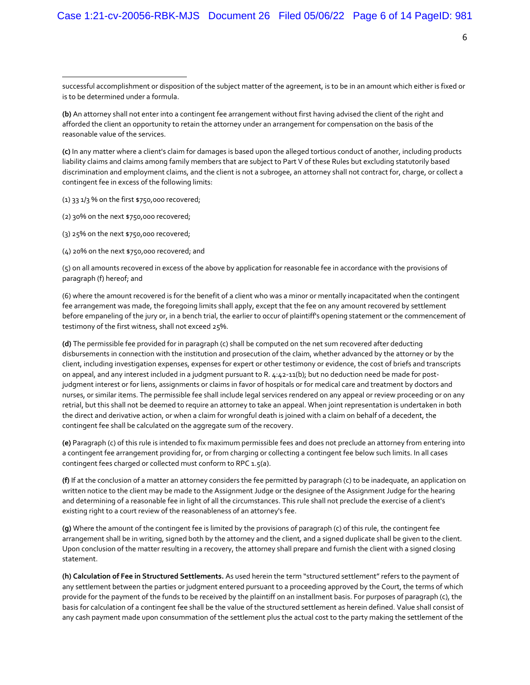successful accomplishment or disposition of the subject matter of the agreement, is to be in an amount which either is fixed or is to be determined under a formula.

**(b)** An attorney shall not enter into a contingent fee arrangement without first having advised the client of the right and afforded the client an opportunity to retain the attorney under an arrangement for compensation on the basis of the reasonable value of the services.

**(c)** In any matter where a client's claim for damages is based upon the alleged tortious conduct of another, including products liability claims and claims among family members that are subject to Part V of these Rules but excluding statutorily based discrimination and employment claims, and the client is not a subrogee, an attorney shall not contract for, charge, or collect a contingent fee in excess of the following limits:

(1) 33 1/3 % on the first \$750,000 recovered;

(2) 30% on the next \$750,000 recovered;

(3) 25% on the next \$750,000 recovered;

(4) 20% on the next \$750,000 recovered; and

(5) on all amounts recovered in excess of the above by application for reasonable fee in accordance with the provisions of paragraph (f) hereof; and

(6) where the amount recovered is for the benefit of a client who was a minor or mentally incapacitated when the contingent fee arrangement was made, the foregoing limits shall apply, except that the fee on any amount recovered by settlement before empaneling of the jury or, in a bench trial, the earlier to occur of plaintiff's opening statement or the commencement of testimony of the first witness, shall not exceed 25%.

**(d)** The permissible fee provided for in paragraph (c) shall be computed on the net sum recovered after deducting disbursements in connection with the institution and prosecution of the claim, whether advanced by the attorney or by the client, including investigation expenses, expenses for expert or other testimony or evidence, the cost of briefs and transcripts on appeal, and any interest included in a judgment pursuant to R. 4:42-11(b); but no deduction need be made for postjudgment interest or for liens, assignments or claims in favor of hospitals or for medical care and treatment by doctors and nurses, or similar items. The permissible fee shall include legal services rendered on any appeal or review proceeding or on any retrial, but this shall not be deemed to require an attorney to take an appeal. When joint representation is undertaken in both the direct and derivative action, or when a claim for wrongful death is joined with a claim on behalf of a decedent, the contingent fee shall be calculated on the aggregate sum of the recovery.

**(e)** Paragraph (c) of this rule is intended to fix maximum permissible fees and does not preclude an attorney from entering into a contingent fee arrangement providing for, or from charging or collecting a contingent fee below such limits. In all cases contingent fees charged or collected must conform to RPC 1.5(a).

**(f)** If at the conclusion of a matter an attorney considers the fee permitted by paragraph (c) to be inadequate, an application on written notice to the client may be made to the Assignment Judge or the designee of the Assignment Judge for the hearing and determining of a reasonable fee in light of all the circumstances. This rule shall not preclude the exercise of a client's existing right to a court review of the reasonableness of an attorney's fee.

**(g)** Where the amount of the contingent fee is limited by the provisions of paragraph (c) of this rule, the contingent fee arrangement shall be in writing, signed both by the attorney and the client, and a signed duplicate shall be given to the client. Upon conclusion of the matter resulting in a recovery, the attorney shall prepare and furnish the client with a signed closing statement.

**(h) Calculation of Fee in Structured Settlements.** As used herein the term "structured settlement"refers to the payment of any settlement between the parties or judgment entered pursuant to a proceeding approved by the Court, the terms of which provide for the payment of the funds to be received by the plaintiff on an installment basis. For purposes of paragraph (c), the basis for calculation of a contingent fee shall be the value of the structured settlement as herein defined. Value shall consist of any cash payment made upon consummation of the settlement plus the actual cost to the party making the settlement of the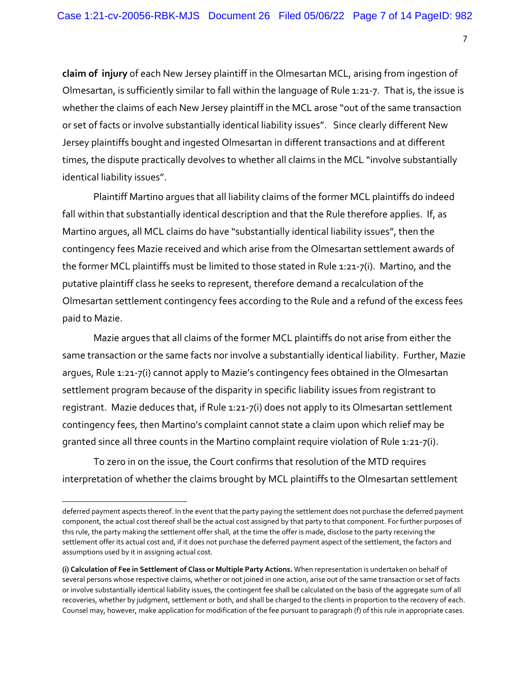7

**claim of injury** of each New Jersey plaintiff in the Olmesartan MCL, arising from ingestion of Olmesartan, is sufficiently similar to fall within the language of Rule 1:21‐7. That is, the issue is whether the claims of each New Jersey plaintiff in the MCL arose "out of the same transaction or set of facts or involve substantially identical liability issues". Since clearly different New Jersey plaintiffs bought and ingested Olmesartan in different transactions and at different times, the dispute practically devolves to whether all claims in the MCL "involve substantially identical liability issues".

Plaintiff Martino argues that all liability claims of the former MCL plaintiffs do indeed fall within that substantially identical description and that the Rule therefore applies. If, as Martino argues, all MCL claims do have "substantially identical liability issues", then the contingency fees Mazie received and which arise from the Olmesartan settlement awards of the former MCL plaintiffs must be limited to those stated in Rule 1:21-7(i). Martino, and the putative plaintiff class he seeks to represent, therefore demand a recalculation of the Olmesartan settlement contingency fees according to the Rule and a refund of the excess fees paid to Mazie.

Mazie argues that all claims of the former MCL plaintiffs do not arise from either the same transaction or the same facts nor involve a substantially identical liability. Further, Mazie argues, Rule 1:21-7(i) cannot apply to Mazie's contingency fees obtained in the Olmesartan settlement program because of the disparity in specific liability issues from registrant to registrant. Mazie deduces that, if Rule 1:21-7(i) does not apply to its Olmesartan settlement contingency fees, then Martino's complaint cannot state a claim upon which relief may be granted since all three counts in the Martino complaint require violation of Rule 1:21-7(i).

To zero in on the issue, the Court confirms that resolution of the MTD requires interpretation of whether the claims brought by MCL plaintiffs to the Olmesartan settlement

deferred payment aspects thereof. In the event that the party paying the settlement does not purchase the deferred payment component, the actual cost thereof shall be the actual cost assigned by that party to that component. For further purposes of this rule, the party making the settlement offer shall, at the time the offer is made, disclose to the party receiving the settlement offer its actual cost and, if it does not purchase the deferred payment aspect of the settlement, the factors and assumptions used by it in assigning actual cost.

**<sup>(</sup>i) Calculation of Fee in Settlement of Class or Multiple Party Actions.** When representation is undertaken on behalf of several persons whose respective claims, whether or not joined in one action, arise out of the same transaction or set of facts or involve substantially identical liability issues, the contingent fee shall be calculated on the basis of the aggregate sum of all recoveries, whether by judgment, settlement or both, and shall be charged to the clients in proportion to the recovery of each. Counsel may, however, make application for modification of the fee pursuant to paragraph (f) of this rule in appropriate cases.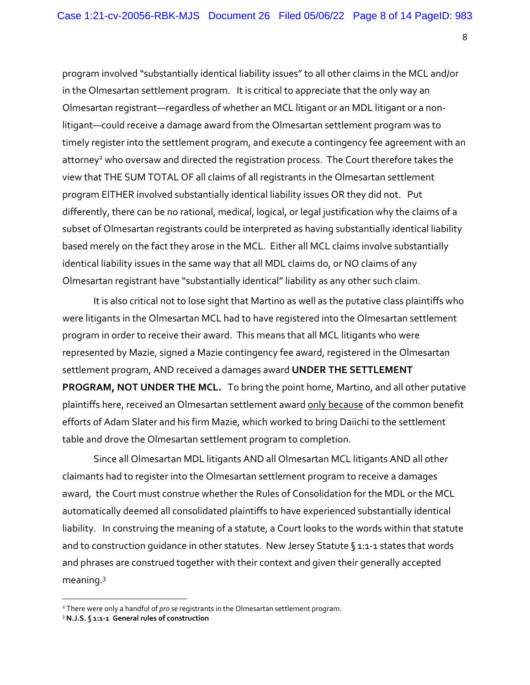program involved "substantially identical liability issues" to all other claims in the MCL and/or in the Olmesartan settlement program. It is critical to appreciate that the only way an Olmesartan registrant—regardless of whether an MCL litigant or an MDL litigant or a non‐ litigant—could receive a damage award from the Olmesartan settlement program was to timely register into the settlement program, and execute a contingency fee agreement with an attorney<sup>2</sup> who oversaw and directed the registration process. The Court therefore takes the view that THE SUM TOTAL OF all claims of all registrants in the Olmesartan settlement program EITHER involved substantially identical liability issues OR they did not. Put differently, there can be no rational, medical, logical, or legal justification why the claims of a subset of Olmesartan registrants could be interpreted as having substantially identical liability based merely on the fact they arose in the MCL. Either all MCL claims involve substantially identical liability issues in the same way that all MDL claims do, or NO claims of any Olmesartan registrant have "substantially identical" liability as any other such claim.

It is also critical not to lose sight that Martino as well as the putative class plaintiffs who were litigants in the Olmesartan MCL had to have registered into the Olmesartan settlement program in order to receive their award. This means that all MCL litigants who were represented by Mazie, signed a Mazie contingency fee award, registered in the Olmesartan settlement program, AND received a damages award **UNDER THE SETTLEMENT PROGRAM, NOT UNDER THE MCL.** To bring the point home, Martino, and all other putative plaintiffs here, received an Olmesartan settlement award only because of the common benefit efforts of Adam Slater and his firm Mazie, which worked to bring Daiichi to the settlement table and drove the Olmesartan settlement program to completion.

Since all Olmesartan MDL litigants AND all Olmesartan MCL litigants AND all other claimants had to register into the Olmesartan settlement program to receive a damages award, the Court must construe whether the Rules of Consolidation for the MDL or the MCL automatically deemed all consolidated plaintiffs to have experienced substantially identical liability. In construing the meaning of a statute, a Court looks to the words within that statute and to construction quidance in other statutes. New Jersey Statute § 1:1-1 states that words and phrases are construed together with their context and given their generally accepted meaning.<sup>3</sup>

<sup>&</sup>lt;sup>2</sup> There were only a handful of *pro se* registrants in the Olmesartan settlement program.

<sup>3</sup> **N.J.S. § 1:1‐1 General rules of construction**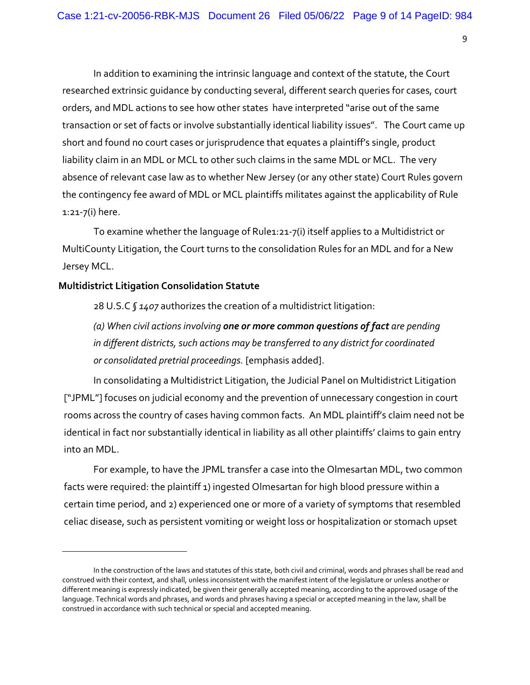en de la componentación de la componentación de la componentación de la componentación de la componentación de<br>Por extensión de la componentación de la componentación de la componentación de la componentación de la compon

In addition to examining the intrinsic language and context of the statute, the Court researched extrinsic guidance by conducting several, different search queries for cases, court orders, and MDL actions to see how other states have interpreted "arise out of the same transaction or set of facts or involve substantially identical liability issues". The Court came up short and found no court cases or jurisprudence that equates a plaintiff's single, product liability claim in an MDL or MCL to other such claims in the same MDL or MCL. The very absence of relevant case law as to whether New Jersey (or any other state) Court Rules govern the contingency fee award of MDL or MCL plaintiffs militates against the applicability of Rule 1:21‐7(i) here.

To examine whether the language of Rule1:21-7(i) itself applies to a Multidistrict or MultiCounty Litigation, the Court turns to the consolidation Rules for an MDL and for a New Jersey MCL.

## **Multidistrict Litigation Consolidation Statute**

28 U.S.C *§ 1407* authorizes the creation of a multidistrict litigation: 

*(a) When civil actions involving one or more common questions of fact are pending in different districts, such actions may be transferred to any district for coordinated or consolidated pretrial proceedings.* [emphasis added].

In consolidating a Multidistrict Litigation, the Judicial Panel on Multidistrict Litigation ["JPML"] focuses on judicial economy and the prevention of unnecessary congestion in court rooms across the country of cases having common facts. An MDL plaintiff's claim need not be identical in fact nor substantially identical in liability as all other plaintiffs' claims to gain entry into an MDL.

For example, to have the JPML transfer a case into the Olmesartan MDL, two common facts were required: the plaintiff 1) ingested Olmesartan for high blood pressure within a certain time period, and 2) experienced one or more of a variety of symptoms that resembled celiac disease, such as persistent vomiting or weight loss or hospitalization or stomach upset

In the construction of the laws and statutes of this state, both civil and criminal, words and phrases shall be read and construed with their context, and shall, unless inconsistent with the manifest intent of the legislature or unless another or different meaning is expressly indicated, be given their generally accepted meaning, according to the approved usage of the language. Technical words and phrases, and words and phrases having a special or accepted meaning in the law, shall be construed in accordance with such technical or special and accepted meaning.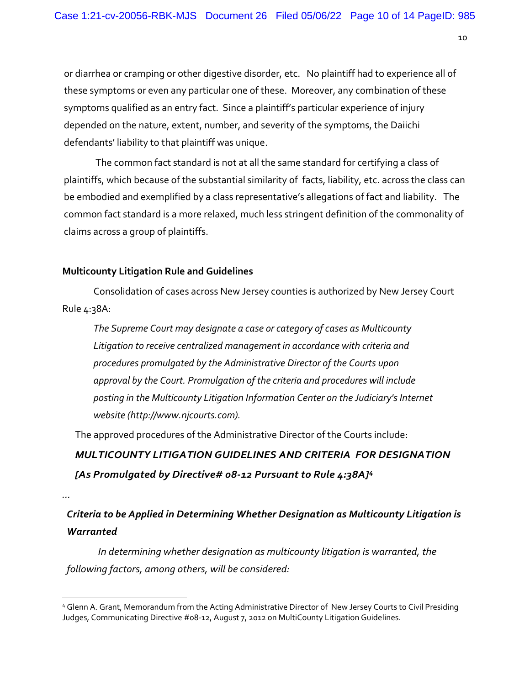or diarrhea or cramping or other digestive disorder, etc. No plaintiff had to experience all of these symptoms or even any particular one of these. Moreover, any combination of these symptoms qualified as an entry fact. Since a plaintiff's particular experience of injury depended on the nature, extent, number, and severity of the symptoms, the Daiichi defendants' liability to that plaintiff was unique.

 The common fact standard is not at all the same standard for certifying a class of plaintiffs, which because of the substantial similarity of facts, liability, etc. across the class can be embodied and exemplified by a class representative's allegations of fact and liability. The common fact standard is a more relaxed, much less stringent definition of the commonality of claims across a group of plaintiffs.

# **Multicounty Litigation Rule and Guidelines**

*…*

Consolidation of cases across New Jersey counties is authorized by New Jersey Court Rule 4:38A:

*The Supreme Court may designate a case or category of cases as Multicounty Litigation to receive centralized management in accordance with criteria and procedures promulgated by the Administrative Director of the Courts upon approval by the Court. Promulgation of the criteria and procedures will include posting in the Multicounty Litigation Information Center on the Judiciary'sInternet website (http://www.njcourts.com).*

The approved procedures of the Administrative Director of the Courts include:

*MULTICOUNTY LITIGATION GUIDELINES AND CRITERIA FOR DESIGNATION [As Promulgated by Directive# 08‐12 Pursuant to Rule 4:38A]<sup>4</sup>*

*Criteria to be Applied in Determining Whether Designation as Multicounty Litigation is Warranted*

*In determining whether designation as multicounty litigation is warranted, the following factors, among others, will be considered:*

<sup>4</sup> Glenn A. Grant, Memorandum from the Acting Administrative Director of New Jersey Courts to Civil Presiding Judges, Communicating Directive #08‐12, August 7, 2012 on MultiCounty Litigation Guidelines.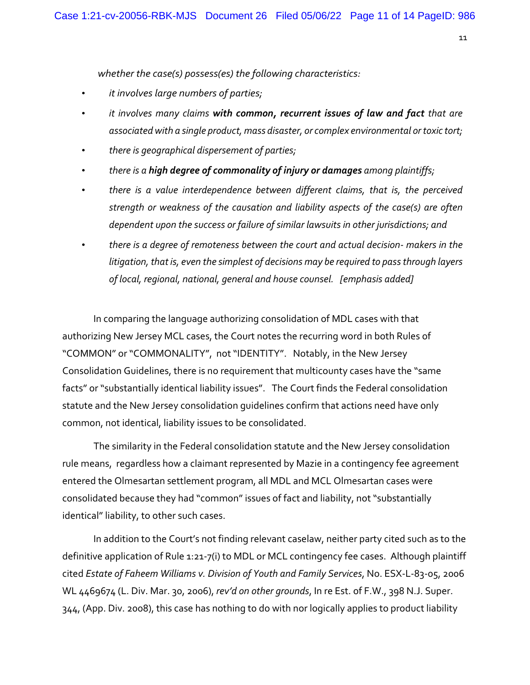*whether the case(s) possess(es) the following characteristics:*

- ï *it involves large numbers of parties;*
- ï *it involves many claims with common, recurrent issues of law and fact that are associated with a single product, mass disaster, or complex environmental ortoxic tort;*
- ï *there is geographical dispersement of parties;*
- ï *there is a high degree of commonality of injury or damages among plaintiffs;*
- ï *there is a value interdependence between different claims, that is, the perceived strength or weakness of the causation and liability aspects of the case(s) are often dependent upon the success or failure of similar lawsuits in other jurisdictions; and*
- ï *there is a degree of remoteness between the court and actual decision‐ makers in the litigation, that is, even the simplest of decisions may be required to passthrough layers of local, regional, national, general and house counsel. [emphasis added]*

In comparing the language authorizing consolidation of MDL cases with that authorizing New Jersey MCL cases, the Court notes the recurring word in both Rules of "COMMON" or "COMMONALITY", not "IDENTITY". Notably, in the New Jersey Consolidation Guidelines, there is no requirement that multicounty cases have the "same facts" or "substantially identical liability issues". The Court finds the Federal consolidation statute and the New Jersey consolidation guidelines confirm that actions need have only common, not identical, liability issues to be consolidated.

The similarity in the Federal consolidation statute and the New Jersey consolidation rule means, regardless how a claimant represented by Mazie in a contingency fee agreement entered the Olmesartan settlement program, all MDL and MCL Olmesartan cases were consolidated because they had "common" issues of fact and liability, not "substantially identical" liability, to other such cases.

In addition to the Court's not finding relevant caselaw, neither party cited such as to the definitive application of Rule 1:21-7(i) to MDL or MCL contingency fee cases. Although plaintiff cited *Estate of Faheem Williams v. Division of Youth and Family Services*, No. ESX‐L‐83‐05, 2006 WL 4469674 (L. Div. Mar. 30, 2006), *rev'd on other grounds*, In re Est. of F.W., 398 N.J. Super. 344, (App. Div. 2008), this case has nothing to do with nor logically applies to product liability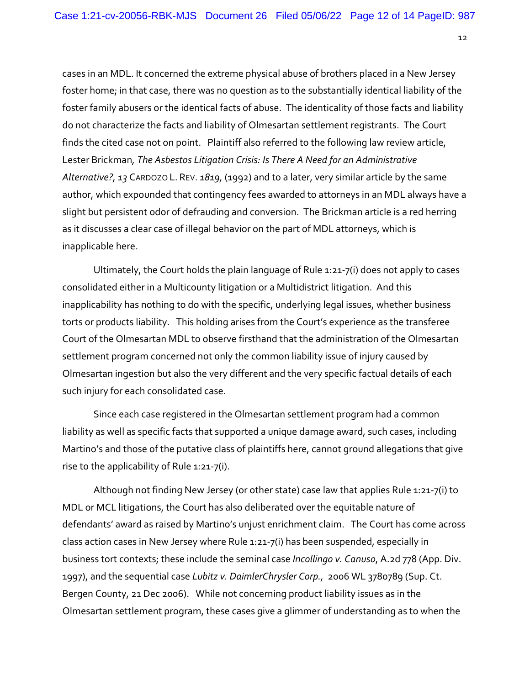cases in an MDL. It concerned the extreme physical abuse of brothers placed in a New Jersey foster home; in that case, there was no question as to the substantially identical liability of the foster family abusers or the identical facts of abuse. The identicality of those facts and liability do not characterize the facts and liability of Olmesartan settlement registrants. The Court finds the cited case not on point. Plaintiff also referred to the following law review article, Lester Brickman*, The Asbestos Litigation Crisis: Is There A Need for an Administrative Alternative?, 13* CARDOZO L. REV. *1819,* (1992) and to a later, very similar article by the same author, which expounded that contingency fees awarded to attorneys in an MDL always have a slight but persistent odor of defrauding and conversion. The Brickman article is a red herring as it discusses a clear case of illegal behavior on the part of MDL attorneys, which is inapplicable here.

Ultimately, the Court holds the plain language of Rule 1:21‐7(i) does not apply to cases consolidated either in a Multicounty litigation or a Multidistrict litigation. And this inapplicability has nothing to do with the specific, underlying legal issues, whether business torts or products liability. This holding arises from the Court's experience as the transferee Court of the Olmesartan MDL to observe firsthand that the administration of the Olmesartan settlement program concerned not only the common liability issue of injury caused by Olmesartan ingestion but also the very different and the very specific factual details of each such injury for each consolidated case.

Since each case registered in the Olmesartan settlement program had a common liability as well as specific facts that supported a unique damage award, such cases, including Martino's and those of the putative class of plaintiffs here, cannot ground allegations that give rise to the applicability of Rule 1:21‐7(i).

Although not finding New Jersey (or other state) case law that applies Rule 1:21‐7(i) to MDL or MCL litigations, the Court has also deliberated over the equitable nature of defendants' award as raised by Martino's unjust enrichment claim. The Court has come across class action cases in New Jersey where Rule 1:21‐7(i) has been suspended, especially in business tort contexts; these include the seminal case *Incollingo v. Canuso*, A.2d 778 (App. Div. 1997), and the sequential case *Lubitz v. DaimlerChrysler Corp.,* 2006 WL 3780789 (Sup. Ct. Bergen County, 21 Dec 2006). While not concerning product liability issues as in the Olmesartan settlement program, these cases give a glimmer of understanding as to when the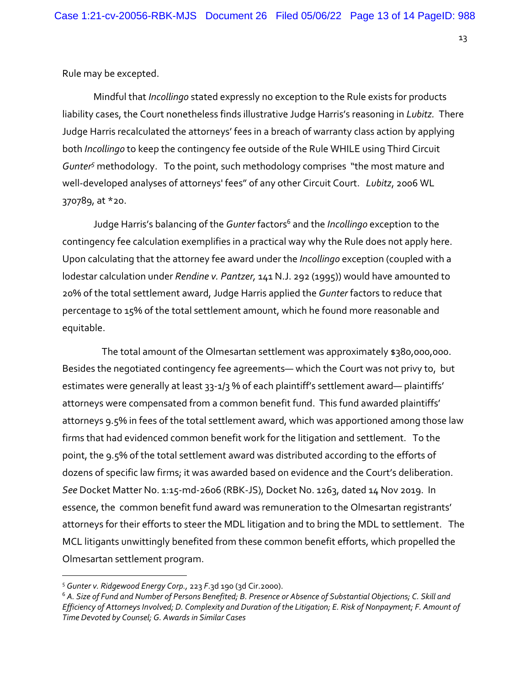$13$ 

Rule may be excepted.

Mindful that *Incollingo* stated expressly no exception to the Rule exists for products liability cases, the Court nonetheless finds illustrative Judge Harris's reasoning in *Lubitz.* There Judge Harris recalculated the attorneys' fees in a breach of warranty class action by applying both *Incollingo* to keep the contingency fee outside of the Rule WHILE using Third Circuit *Gunter<sup>5</sup>* methodology. To the point, such methodology comprises "the most mature and well-developed analyses of attorneys' fees" of any other Circuit Court. Lubitz, 2006 WL 370789, at \*20.

Judge Harris's balancing of the *Gunter* factors<sup>6</sup> and the *Incollingo* exception to the contingency fee calculation exemplifies in a practical way why the Rule does not apply here. Upon calculating that the attorney fee award under the *Incollingo* exception (coupled with a lodestar calculation under *Rendine v. Pantzer,* 141 N.J. 292 (1995)) would have amounted to 20% of the total settlement award, Judge Harris applied the *Gunter* factors to reduce that percentage to 15% of the total settlement amount, which he found more reasonable and equitable.

 The total amount of the Olmesartan settlement was approximately \$380,000,000. Besides the negotiated contingency fee agreements— which the Court was not privy to, but estimates were generally at least 33-1/3 % of each plaintiff's settlement award— plaintiffs' attorneys were compensated from a common benefit fund. This fund awarded plaintiffs' attorneys 9.5% in fees of the total settlement award, which was apportioned among those law firms that had evidenced common benefit work for the litigation and settlement. To the point, the 9.5% of the total settlement award was distributed according to the efforts of dozens of specific law firms; it was awarded based on evidence and the Court's deliberation. *See* Docket Matter No. 1:15‐md‐2606 (RBK‐JS), Docket No. 1263, dated 14 Nov 2019. In essence, the common benefit fund award was remuneration to the Olmesartan registrants' attorneys for their efforts to steer the MDL litigation and to bring the MDL to settlement. The MCL litigants unwittingly benefited from these common benefit efforts, which propelled the Olmesartan settlement program.

<sup>5</sup> *Gunter v. Ridgewood Energy Corp.,* 223 *F*.3d 190 (3d Cir.2000).

 $6$  A. Size of Fund and Number of Persons Benefited; B. Presence or Absence of Substantial Objections; C. Skill and Efficiency of Attorneys Involved, D. Complexity and Duration of the Litigation, E. Risk of Nonpayment, F. Amount of *Time Devoted by Counsel; G. Awards in Similar Cases*